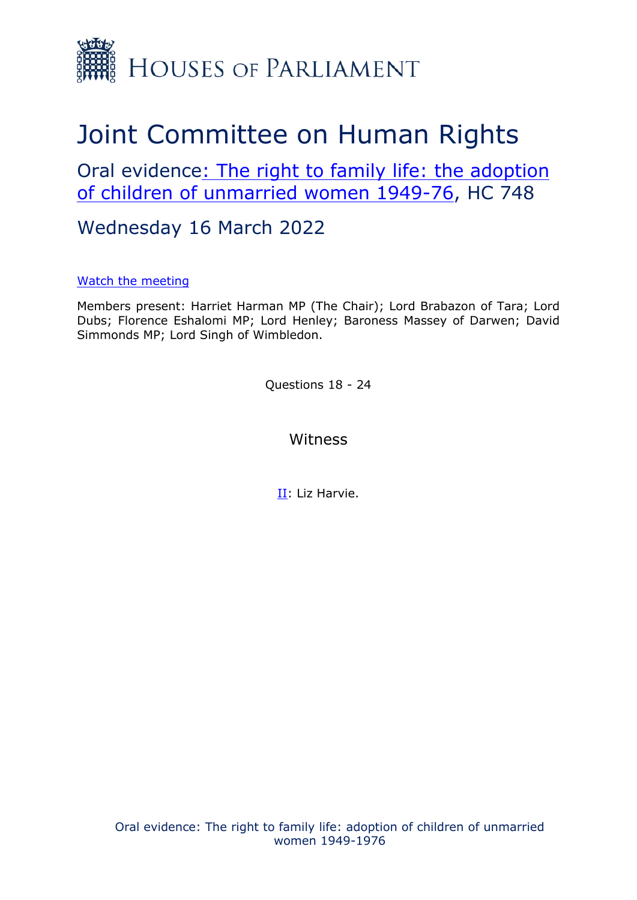

## Joint Committee on Human Rights

Oral evidence[:](https://committees.parliament.uk/work/1522/the-right-to-family-life-adoption-of-children-of-unmarried-women-19491976/) [The](https://committees.parliament.uk/work/1522/the-right-to-family-life-adoption-of-children-of-unmarried-women-19491976/) [right](https://committees.parliament.uk/work/1522/the-right-to-family-life-adoption-of-children-of-unmarried-women-19491976/) [to](https://committees.parliament.uk/work/1522/the-right-to-family-life-adoption-of-children-of-unmarried-women-19491976/) [family](https://committees.parliament.uk/work/1522/the-right-to-family-life-adoption-of-children-of-unmarried-women-19491976/) [life:](https://committees.parliament.uk/work/1522/the-right-to-family-life-adoption-of-children-of-unmarried-women-19491976/) [the](https://committees.parliament.uk/work/1522/the-right-to-family-life-adoption-of-children-of-unmarried-women-19491976/) [adoption](https://committees.parliament.uk/work/1522/the-right-to-family-life-adoption-of-children-of-unmarried-women-19491976/) [of](https://committees.parliament.uk/work/1522/the-right-to-family-life-adoption-of-children-of-unmarried-women-19491976/) [children](https://committees.parliament.uk/work/1522/the-right-to-family-life-adoption-of-children-of-unmarried-women-19491976/) [of](https://committees.parliament.uk/work/1522/the-right-to-family-life-adoption-of-children-of-unmarried-women-19491976/) [unmarried](https://committees.parliament.uk/work/1522/the-right-to-family-life-adoption-of-children-of-unmarried-women-19491976/) [women](https://committees.parliament.uk/work/1522/the-right-to-family-life-adoption-of-children-of-unmarried-women-19491976/) [1949-76,](https://committees.parliament.uk/work/1522/the-right-to-family-life-adoption-of-children-of-unmarried-women-19491976/) HC 748

Wednesday 16 March 2022

[Watch](https://parliamentlive.tv/event/index/432108ac-2a58-4d08-89af-5d93698b74a0) [the](https://parliamentlive.tv/event/index/432108ac-2a58-4d08-89af-5d93698b74a0) [meeting](https://parliamentlive.tv/event/index/432108ac-2a58-4d08-89af-5d93698b74a0)

Members present: Harriet Harman MP (The Chair); Lord Brabazon of Tara; Lord Dubs; Florence Eshalomi MP; Lord Henley; Baroness Massey of Darwen; David Simmonds MP; Lord Singh of Wimbledon.

Questions 18 - 24

Witness

II: Liz Harvie.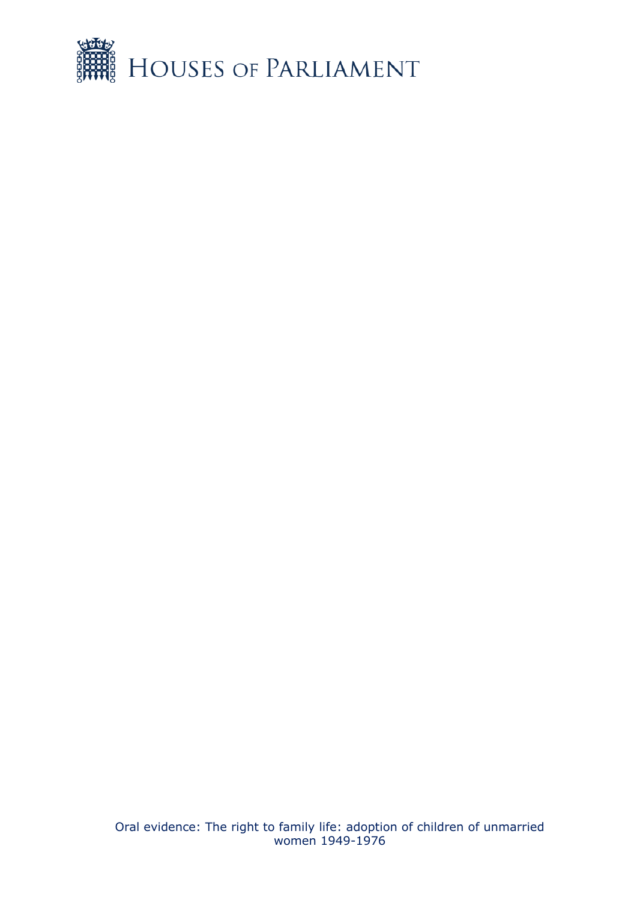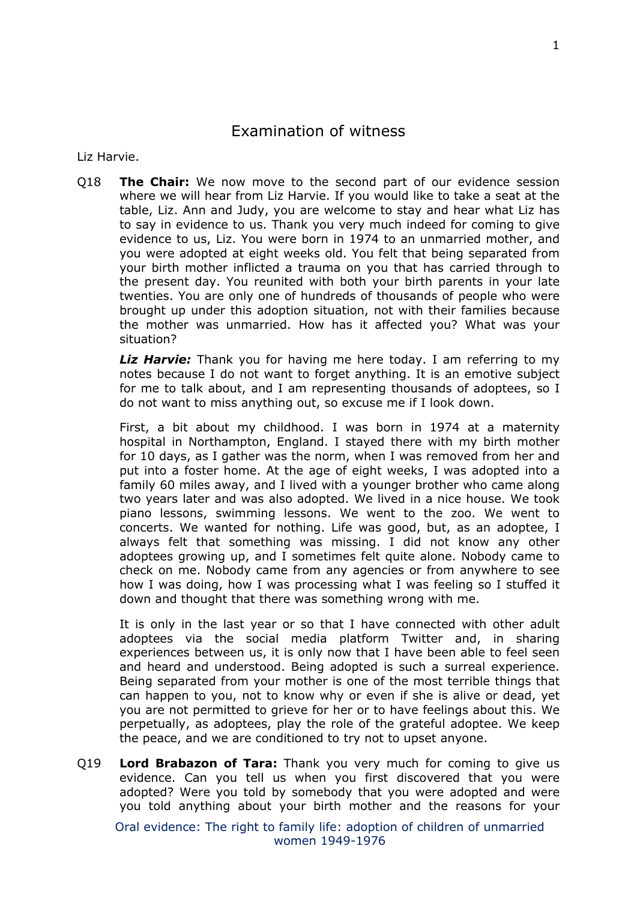## Examination of witness

Liz Harvie.

Q18 **The Chair:** We now move to the second part of our evidence session where we will hear from Liz Harvie. If you would like to take a seat at the table, Liz. Ann and Judy, you are welcome to stay and hear what Liz has to say in evidence to us. Thank you very much indeed for coming to give evidence to us, Liz. You were born in 1974 to an unmarried mother, and you were adopted at eight weeks old. You felt that being separated from your birth mother inflicted a trauma on you that has carried through to the present day. You reunited with both your birth parents in your late twenties. You are only one of hundreds of thousands of people who were brought up under this adoption situation, not with their families because the mother was unmarried. How has it affected you? What was your situation?

*Liz Harvie:* Thank you for having me here today. I am referring to my notes because I do not want to forget anything. It is an emotive subject for me to talk about, and I am representing thousands of adoptees, so I do not want to miss anything out, so excuse me if I look down.

First, a bit about my childhood. I was born in 1974 at a maternity hospital in Northampton, England. I stayed there with my birth mother for 10 days, as I gather was the norm, when I was removed from her and put into a foster home. At the age of eight weeks, I was adopted into a family 60 miles away, and I lived with a younger brother who came along two years later and was also adopted. We lived in a nice house. We took piano lessons, swimming lessons. We went to the zoo. We went to concerts. We wanted for nothing. Life was good, but, as an adoptee, I always felt that something was missing. I did not know any other adoptees growing up, and I sometimes felt quite alone. Nobody came to check on me. Nobody came from any agencies or from anywhere to see how I was doing, how I was processing what I was feeling so I stuffed it down and thought that there was something wrong with me.

It is only in the last year or so that I have connected with other adult adoptees via the social media platform Twitter and, in sharing experiences between us, it is only now that I have been able to feel seen and heard and understood. Being adopted is such a surreal experience. Being separated from your mother is one of the most terrible things that can happen to you, not to know why or even if she is alive or dead, yet you are not permitted to grieve for her or to have feelings about this. We perpetually, as adoptees, play the role of the grateful adoptee. We keep the peace, and we are conditioned to try not to upset anyone.

Q19 **Lord Brabazon of Tara:** Thank you very much for coming to give us evidence. Can you tell us when you first discovered that you were adopted? Were you told by somebody that you were adopted and were you told anything about your birth mother and the reasons for your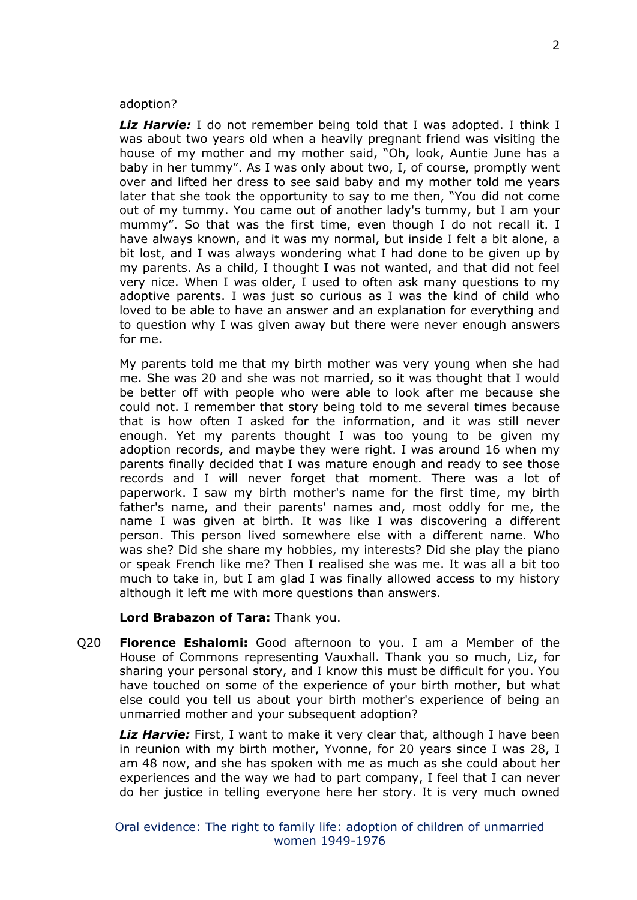## adoption?

*Liz Harvie:* I do not remember being told that I was adopted. I think I was about two years old when a heavily pregnant friend was visiting the house of my mother and my mother said, "Oh, look, Auntie June has a baby in her tummy". As I was only about two, I, of course, promptly went over and lifted her dress to see said baby and my mother told me years later that she took the opportunity to say to me then, "You did not come out of my tummy. You came out of another lady's tummy, but I am your mummy". So that was the first time, even though I do not recall it. I have always known, and it was my normal, but inside I felt a bit alone, a bit lost, and I was always wondering what I had done to be given up by my parents. As a child, I thought I was not wanted, and that did not feel very nice. When I was older, I used to often ask many questions to my adoptive parents. I was just so curious as I was the kind of child who loved to be able to have an answer and an explanation for everything and to question why I was given away but there were never enough answers for me.

My parents told me that my birth mother was very young when she had me. She was 20 and she was not married, so it was thought that I would be better off with people who were able to look after me because she could not. I remember that story being told to me several times because that is how often I asked for the information, and it was still never enough. Yet my parents thought I was too young to be given my adoption records, and maybe they were right. I was around 16 when my parents finally decided that I was mature enough and ready to see those records and I will never forget that moment. There was a lot of paperwork. I saw my birth mother's name for the first time, my birth father's name, and their parents' names and, most oddly for me, the name I was given at birth. It was like I was discovering a different person. This person lived somewhere else with a different name. Who was she? Did she share my hobbies, my interests? Did she play the piano or speak French like me? Then I realised she was me. It was all a bit too much to take in, but I am glad I was finally allowed access to my history although it left me with more questions than answers.

## **Lord Brabazon of Tara:** Thank you.

Q20 **Florence Eshalomi:** Good afternoon to you. I am a Member of the House of Commons representing Vauxhall. Thank you so much, Liz, for sharing your personal story, and I know this must be difficult for you. You have touched on some of the experience of your birth mother, but what else could you tell us about your birth mother's experience of being an unmarried mother and your subsequent adoption?

*Liz Harvie:* First, I want to make it very clear that, although I have been in reunion with my birth mother, Yvonne, for 20 years since I was 28, I am 48 now, and she has spoken with me as much as she could about her experiences and the way we had to part company, I feel that I can never do her justice in telling everyone here her story. It is very much owned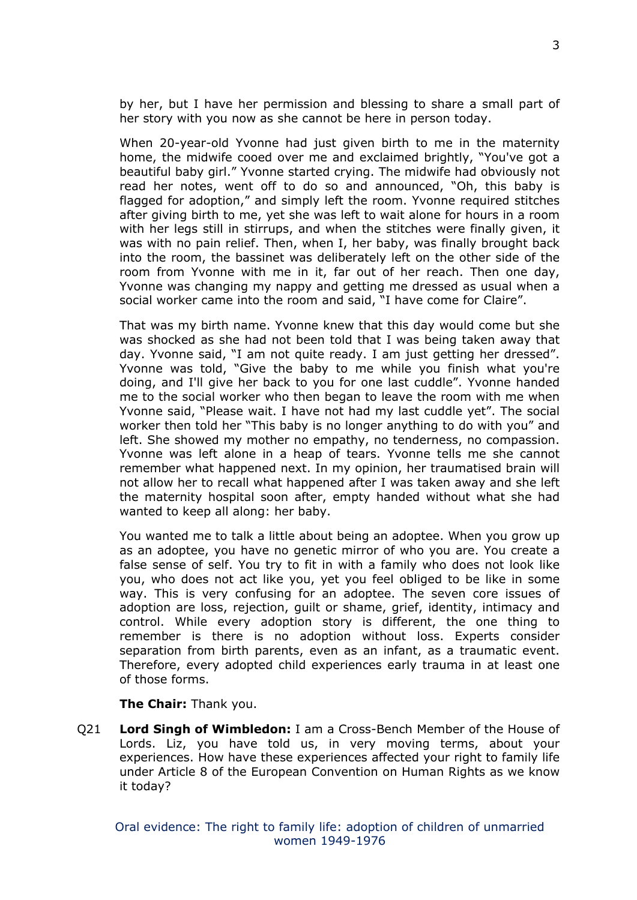by her, but I have her permission and blessing to share a small part of her story with you now as she cannot be here in person today.

When 20-year-old Yvonne had just given birth to me in the maternity home, the midwife cooed over me and exclaimed brightly, "You've got a beautiful baby girl." Yvonne started crying. The midwife had obviously not read her notes, went off to do so and announced, "Oh, this baby is flagged for adoption," and simply left the room. Yvonne required stitches after giving birth to me, yet she was left to wait alone for hours in a room with her legs still in stirrups, and when the stitches were finally given, it was with no pain relief. Then, when I, her baby, was finally brought back into the room, the bassinet was deliberately left on the other side of the room from Yvonne with me in it, far out of her reach. Then one day, Yvonne was changing my nappy and getting me dressed as usual when a social worker came into the room and said, "I have come for Claire".

That was my birth name. Yvonne knew that this day would come but she was shocked as she had not been told that I was being taken away that day. Yvonne said, "I am not quite ready. I am just getting her dressed". Yvonne was told, "Give the baby to me while you finish what you're doing, and I'll give her back to you for one last cuddle". Yvonne handed me to the social worker who then began to leave the room with me when Yvonne said, "Please wait. I have not had my last cuddle yet". The social worker then told her "This baby is no longer anything to do with you" and left. She showed my mother no empathy, no tenderness, no compassion. Yvonne was left alone in a heap of tears. Yvonne tells me she cannot remember what happened next. In my opinion, her traumatised brain will not allow her to recall what happened after I was taken away and she left the maternity hospital soon after, empty handed without what she had wanted to keep all along: her baby.

You wanted me to talk a little about being an adoptee. When you grow up as an adoptee, you have no genetic mirror of who you are. You create a false sense of self. You try to fit in with a family who does not look like you, who does not act like you, yet you feel obliged to be like in some way. This is very confusing for an adoptee. The seven core issues of adoption are loss, rejection, guilt or shame, grief, identity, intimacy and control. While every adoption story is different, the one thing to remember is there is no adoption without loss. Experts consider separation from birth parents, even as an infant, as a traumatic event. Therefore, every adopted child experiences early trauma in at least one of those forms.

**The Chair:** Thank you.

Q21 **Lord Singh of Wimbledon:** I am a Cross-Bench Member of the House of Lords. Liz, you have told us, in very moving terms, about your experiences. How have these experiences affected your right to family life under Article 8 of the European Convention on Human Rights as we know it today?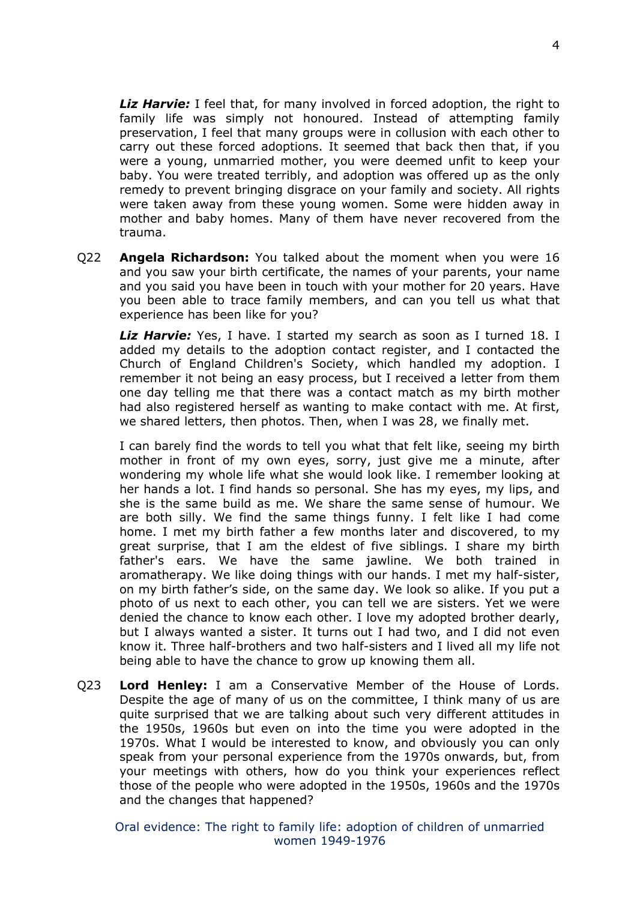*Liz Harvie:* I feel that, for many involved in forced adoption, the right to family life was simply not honoured. Instead of attempting family preservation, I feel that many groups were in collusion with each other to carry out these forced adoptions. It seemed that back then that, if you were a young, unmarried mother, you were deemed unfit to keep your baby. You were treated terribly, and adoption was offered up as the only remedy to prevent bringing disgrace on your family and society. All rights were taken away from these young women. Some were hidden away in mother and baby homes. Many of them have never recovered from the trauma.

Q22 **Angela Richardson:** You talked about the moment when you were 16 and you saw your birth certificate, the names of your parents, your name and you said you have been in touch with your mother for 20 years. Have you been able to trace family members, and can you tell us what that experience has been like for you?

*Liz Harvie:* Yes, I have. I started my search as soon as I turned 18. I added my details to the adoption contact register, and I contacted the Church of England Children's Society, which handled my adoption. I remember it not being an easy process, but I received a letter from them one day telling me that there was a contact match as my birth mother had also registered herself as wanting to make contact with me. At first, we shared letters, then photos. Then, when I was 28, we finally met.

I can barely find the words to tell you what that felt like, seeing my birth mother in front of my own eyes, sorry, just give me a minute, after wondering my whole life what she would look like. I remember looking at her hands a lot. I find hands so personal. She has my eyes, my lips, and she is the same build as me. We share the same sense of humour. We are both silly. We find the same things funny. I felt like I had come home. I met my birth father a few months later and discovered, to my great surprise, that I am the eldest of five siblings. I share my birth father's ears. We have the same jawline. We both trained in aromatherapy. We like doing things with our hands. I met my half-sister, on my birth father's side, on the same day. We look so alike. If you put a photo of us next to each other, you can tell we are sisters. Yet we were denied the chance to know each other. I love my adopted brother dearly, but I always wanted a sister. It turns out I had two, and I did not even know it. Three half-brothers and two half-sisters and I lived all my life not being able to have the chance to grow up knowing them all.

Q23 **Lord Henley:** I am a Conservative Member of the House of Lords. Despite the age of many of us on the committee, I think many of us are quite surprised that we are talking about such very different attitudes in the 1950s, 1960s but even on into the time you were adopted in the 1970s. What I would be interested to know, and obviously you can only speak from your personal experience from the 1970s onwards, but, from your meetings with others, how do you think your experiences reflect those of the people who were adopted in the 1950s, 1960s and the 1970s and the changes that happened?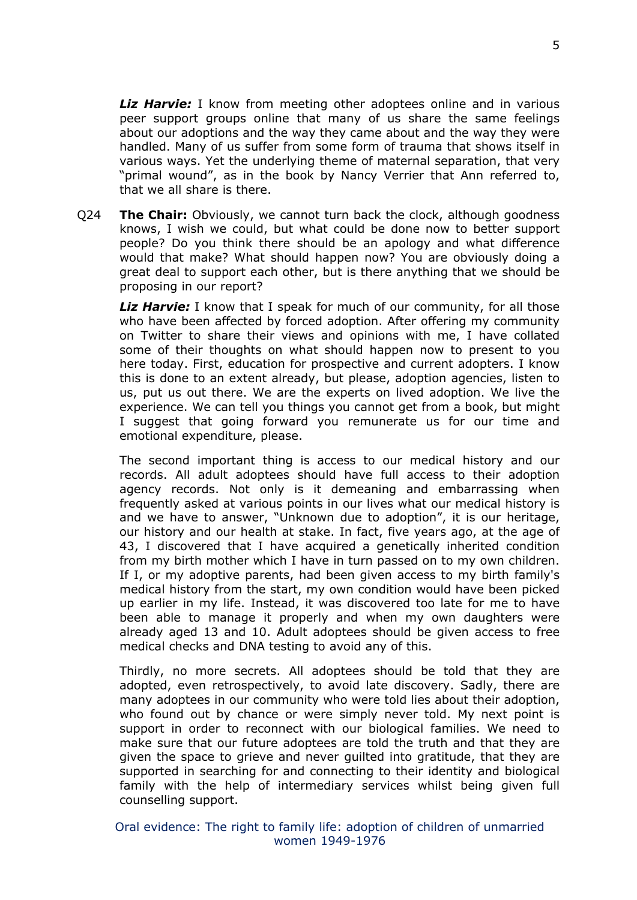*Liz Harvie:* I know from meeting other adoptees online and in various peer support groups online that many of us share the same feelings about our adoptions and the way they came about and the way they were handled. Many of us suffer from some form of trauma that shows itself in various ways. Yet the underlying theme of maternal separation, that very "primal wound", as in the book by Nancy Verrier that Ann referred to, that we all share is there.

Q24 **The Chair:** Obviously, we cannot turn back the clock, although goodness knows, I wish we could, but what could be done now to better support people? Do you think there should be an apology and what difference would that make? What should happen now? You are obviously doing a great deal to support each other, but is there anything that we should be proposing in our report?

*Liz Harvie:* I know that I speak for much of our community, for all those who have been affected by forced adoption. After offering my community on Twitter to share their views and opinions with me, I have collated some of their thoughts on what should happen now to present to you here today. First, education for prospective and current adopters. I know this is done to an extent already, but please, adoption agencies, listen to us, put us out there. We are the experts on lived adoption. We live the experience. We can tell you things you cannot get from a book, but might I suggest that going forward you remunerate us for our time and emotional expenditure, please.

The second important thing is access to our medical history and our records. All adult adoptees should have full access to their adoption agency records. Not only is it demeaning and embarrassing when frequently asked at various points in our lives what our medical history is and we have to answer, "Unknown due to adoption", it is our heritage, our history and our health at stake. In fact, five years ago, at the age of 43, I discovered that I have acquired a genetically inherited condition from my birth mother which I have in turn passed on to my own children. If I, or my adoptive parents, had been given access to my birth family's medical history from the start, my own condition would have been picked up earlier in my life. Instead, it was discovered too late for me to have been able to manage it properly and when my own daughters were already aged 13 and 10. Adult adoptees should be given access to free medical checks and DNA testing to avoid any of this.

Thirdly, no more secrets. All adoptees should be told that they are adopted, even retrospectively, to avoid late discovery. Sadly, there are many adoptees in our community who were told lies about their adoption, who found out by chance or were simply never told. My next point is support in order to reconnect with our biological families. We need to make sure that our future adoptees are told the truth and that they are given the space to grieve and never guilted into gratitude, that they are supported in searching for and connecting to their identity and biological family with the help of intermediary services whilst being given full counselling support.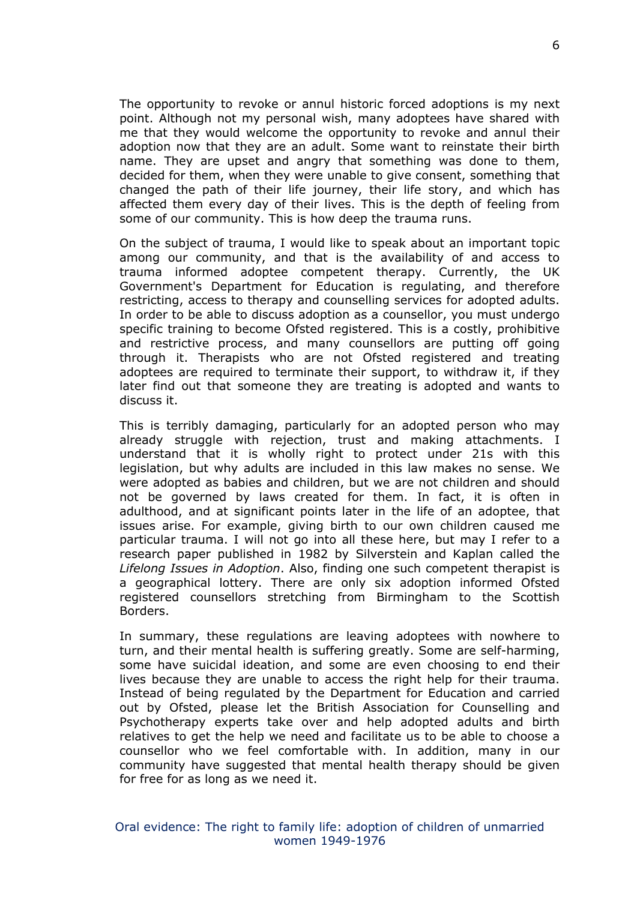The opportunity to revoke or annul historic forced adoptions is my next point. Although not my personal wish, many adoptees have shared with me that they would welcome the opportunity to revoke and annul their adoption now that they are an adult. Some want to reinstate their birth name. They are upset and angry that something was done to them, decided for them, when they were unable to give consent, something that changed the path of their life journey, their life story, and which has affected them every day of their lives. This is the depth of feeling from some of our community. This is how deep the trauma runs.

On the subject of trauma, I would like to speak about an important topic among our community, and that is the availability of and access to trauma informed adoptee competent therapy. Currently, the UK Government's Department for Education is regulating, and therefore restricting, access to therapy and counselling services for adopted adults. In order to be able to discuss adoption as a counsellor, you must undergo specific training to become Ofsted registered. This is a costly, prohibitive and restrictive process, and many counsellors are putting off going through it. Therapists who are not Ofsted registered and treating adoptees are required to terminate their support, to withdraw it, if they later find out that someone they are treating is adopted and wants to discuss it.

This is terribly damaging, particularly for an adopted person who may already struggle with rejection, trust and making attachments. I understand that it is wholly right to protect under 21s with this legislation, but why adults are included in this law makes no sense. We were adopted as babies and children, but we are not children and should not be governed by laws created for them. In fact, it is often in adulthood, and at significant points later in the life of an adoptee, that issues arise. For example, giving birth to our own children caused me particular trauma. I will not go into all these here, but may I refer to a research paper published in 1982 by Silverstein and Kaplan called the *Lifelong Issues in Adoption*. Also, finding one such competent therapist is a geographical lottery. There are only six adoption informed Ofsted registered counsellors stretching from Birmingham to the Scottish Borders.

In summary, these regulations are leaving adoptees with nowhere to turn, and their mental health is suffering greatly. Some are self-harming, some have suicidal ideation, and some are even choosing to end their lives because they are unable to access the right help for their trauma. Instead of being regulated by the Department for Education and carried out by Ofsted, please let the British Association for Counselling and Psychotherapy experts take over and help adopted adults and birth relatives to get the help we need and facilitate us to be able to choose a counsellor who we feel comfortable with. In addition, many in our community have suggested that mental health therapy should be given for free for as long as we need it.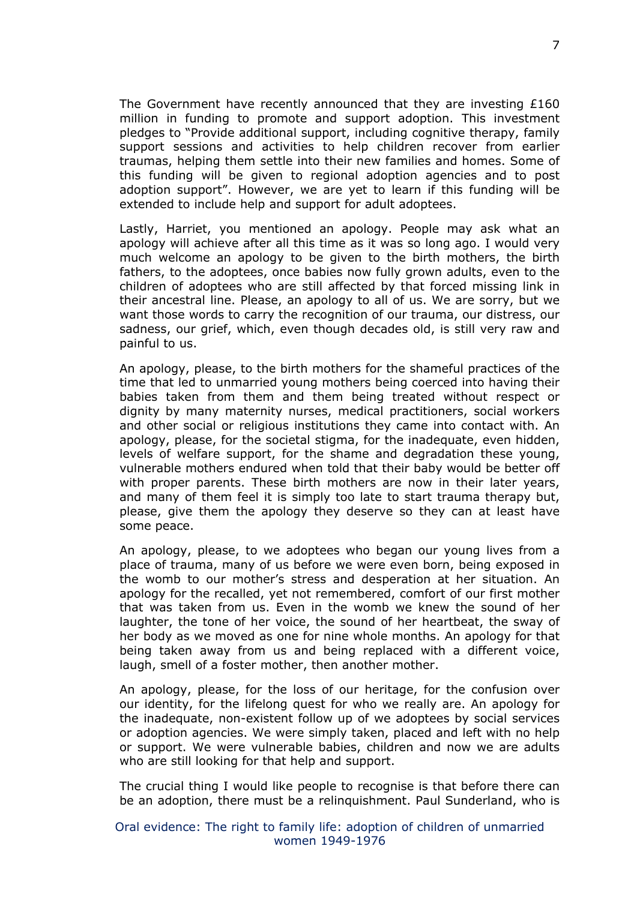The Government have recently announced that they are investing  $£160$ million in funding to promote and support adoption. This investment pledges to "Provide additional support, including cognitive therapy, family support sessions and activities to help children recover from earlier traumas, helping them settle into their new families and homes. Some of this funding will be given to regional adoption agencies and to post adoption support". However, we are yet to learn if this funding will be extended to include help and support for adult adoptees.

Lastly, Harriet, you mentioned an apology. People may ask what an apology will achieve after all this time as it was so long ago. I would very much welcome an apology to be given to the birth mothers, the birth fathers, to the adoptees, once babies now fully grown adults, even to the children of adoptees who are still affected by that forced missing link in their ancestral line. Please, an apology to all of us. We are sorry, but we want those words to carry the recognition of our trauma, our distress, our sadness, our grief, which, even though decades old, is still very raw and painful to us.

An apology, please, to the birth mothers for the shameful practices of the time that led to unmarried young mothers being coerced into having their babies taken from them and them being treated without respect or dignity by many maternity nurses, medical practitioners, social workers and other social or religious institutions they came into contact with. An apology, please, for the societal stigma, for the inadequate, even hidden, levels of welfare support, for the shame and degradation these young, vulnerable mothers endured when told that their baby would be better off with proper parents. These birth mothers are now in their later years, and many of them feel it is simply too late to start trauma therapy but, please, give them the apology they deserve so they can at least have some peace.

An apology, please, to we adoptees who began our young lives from a place of trauma, many of us before we were even born, being exposed in the womb to our mother's stress and desperation at her situation. An apology for the recalled, yet not remembered, comfort of our first mother that was taken from us. Even in the womb we knew the sound of her laughter, the tone of her voice, the sound of her heartbeat, the sway of her body as we moved as one for nine whole months. An apology for that being taken away from us and being replaced with a different voice, laugh, smell of a foster mother, then another mother.

An apology, please, for the loss of our heritage, for the confusion over our identity, for the lifelong quest for who we really are. An apology for the inadequate, non-existent follow up of we adoptees by social services or adoption agencies. We were simply taken, placed and left with no help or support. We were vulnerable babies, children and now we are adults who are still looking for that help and support.

The crucial thing I would like people to recognise is that before there can be an adoption, there must be a relinquishment. Paul Sunderland, who is